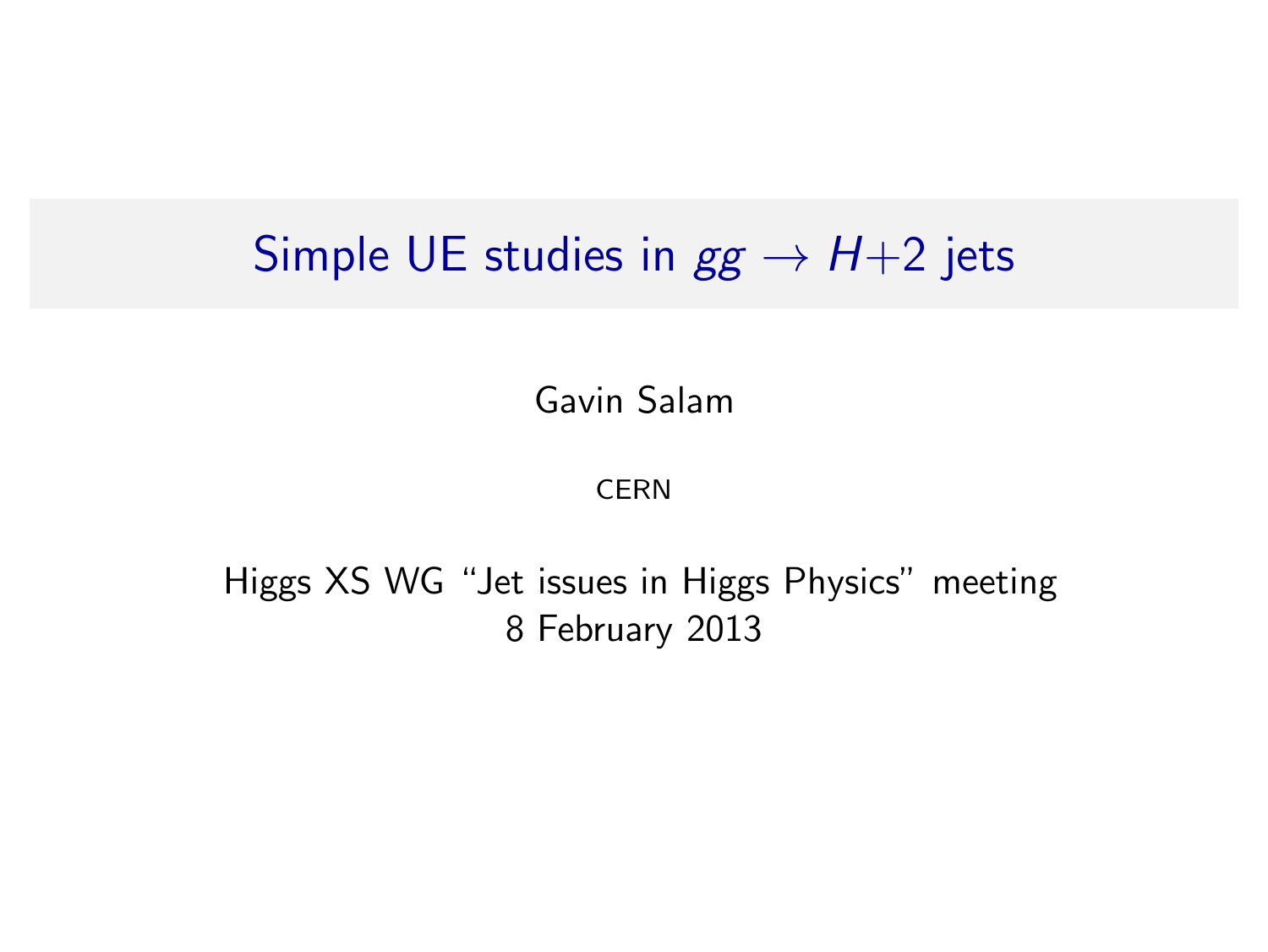#### Simple UE studies in  $gg \rightarrow H+2$  jets

Gavin Salam

CERN

<span id="page-0-0"></span>Higgs XS WG "Jet issues in Higgs Physics" meeting 8 February 2013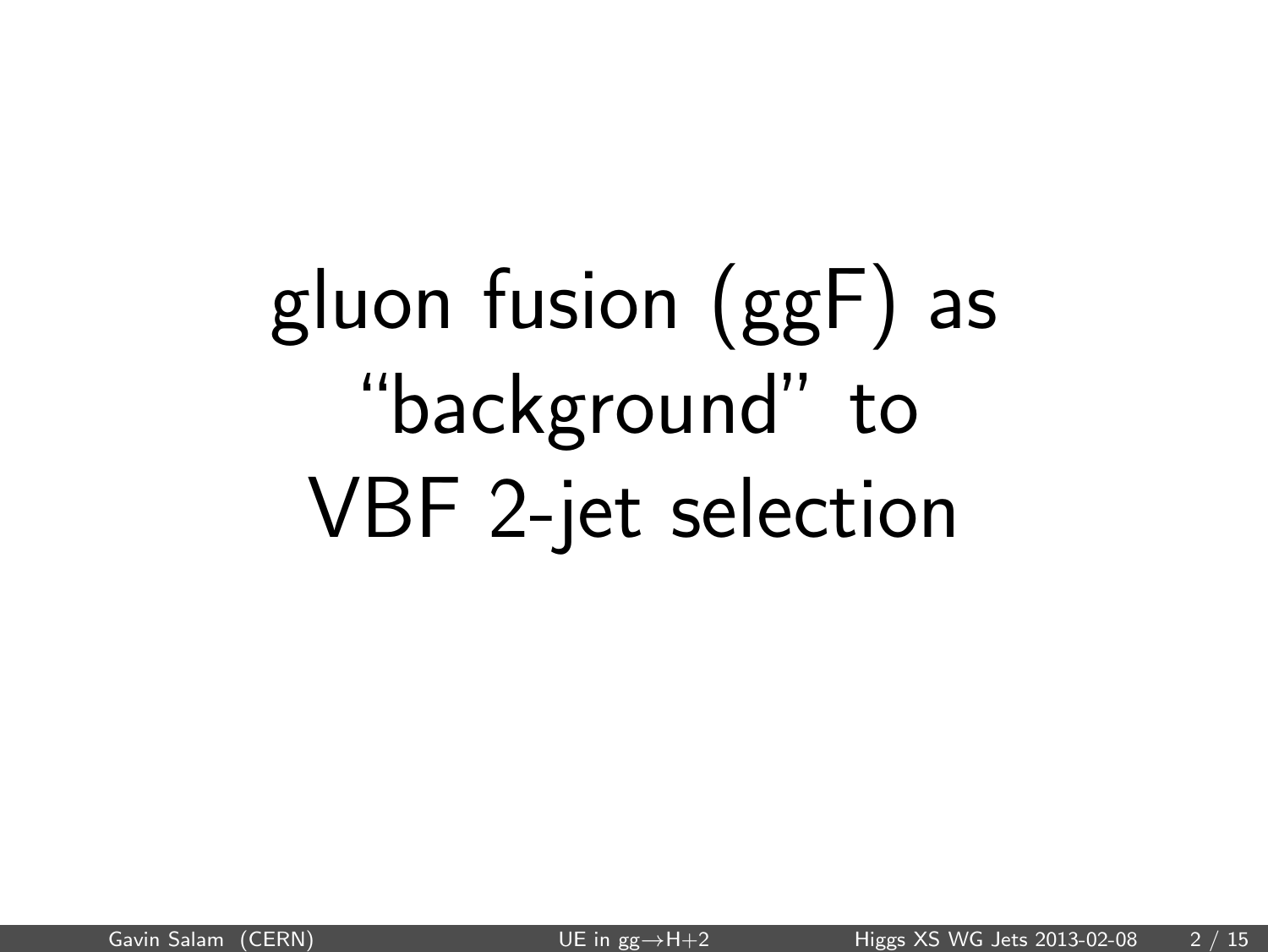# gluon fusion (ggF) as "background" to VBF 2-jet selection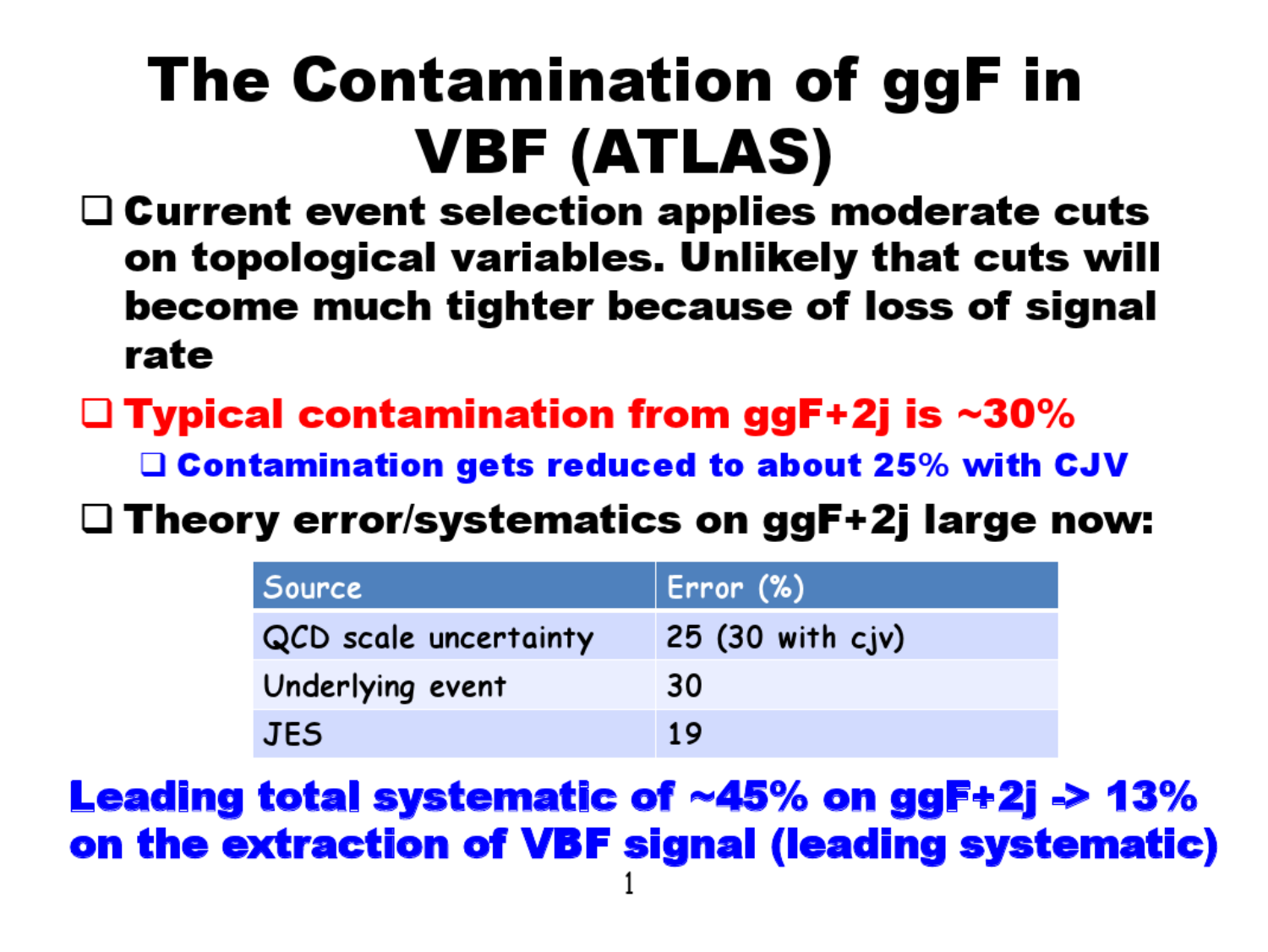## The Contamination of ggF in **VBF (ATLAS)**

- $\Box$  Current event selection applies moderate cuts on topological variables. Unlikely that cuts will become much tighter because of loss of signal rate
- $\Box$  Typical contamination from ggF+2j is ~30%

**Q Contamination gets reduced to about 25% with CJV** 

 $\square$  Theory error/systematics on ggF+2j large now:

| <b>Source</b>         | $\vert$ Error $(\%)$              |
|-----------------------|-----------------------------------|
| QCD scale uncertainty | $25(30 \text{ with } c\text{iv})$ |
| Underlying event      | 30                                |
| <b>JES</b>            | 19                                |

**Leading total systematic of ~45% on ggF+2j -> 13%** on the extraction of VBF signal (leading systematic)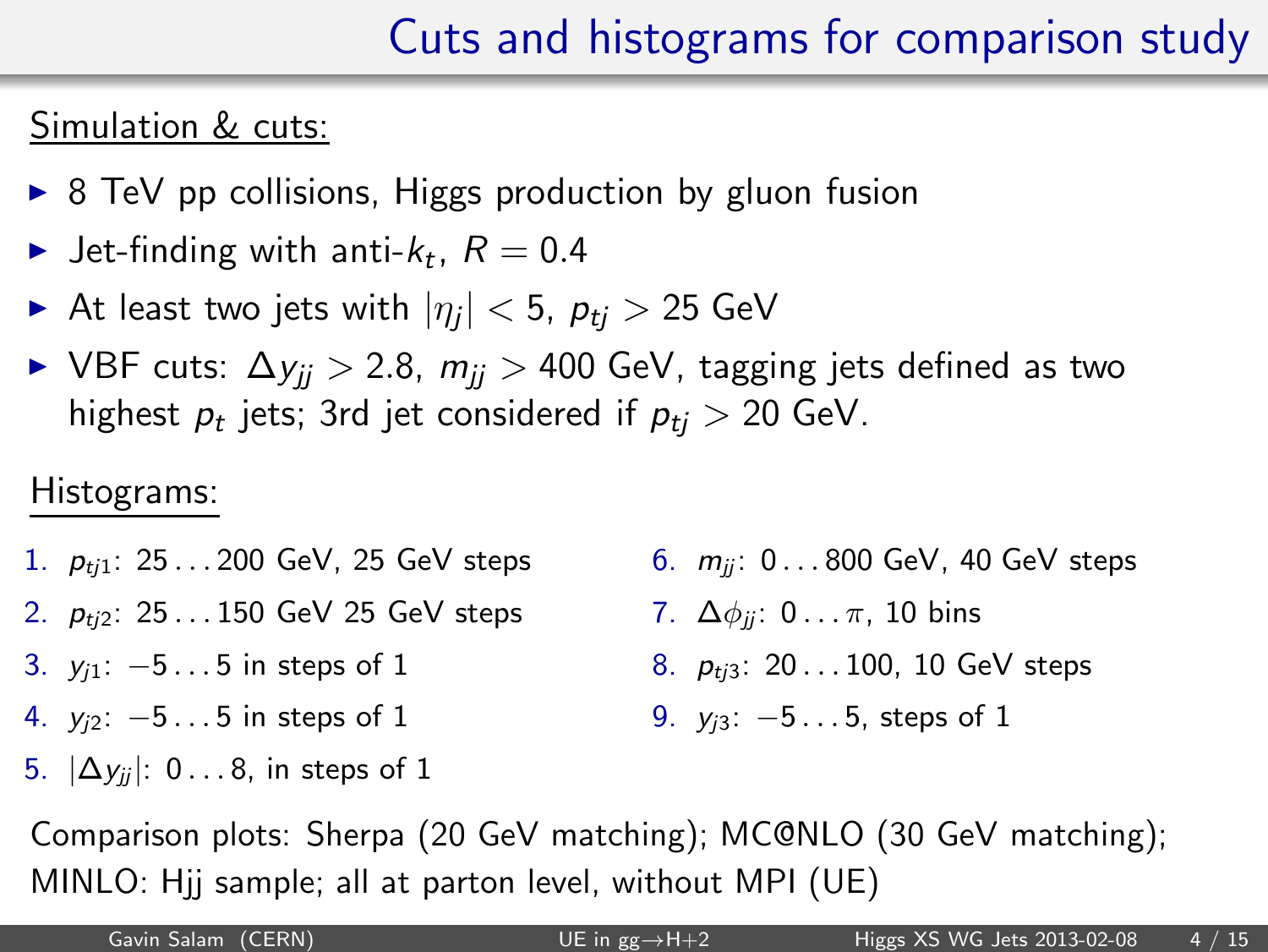#### Cuts and histograms for comparison study

#### Simulation & cuts:

- $\triangleright$  8 TeV pp collisions, Higgs production by gluon fusion
- $\blacktriangleright$  Jet-finding with anti- $k_t$ ,  $R=0.4$
- $\blacktriangleright$  At least two jets with  $|\eta_j| < 5$ ,  $\rho_{tj} > 25$  GeV
- ► VBF cuts:  $\Delta y_{ii} > 2.8$ ,  $m_{ii} > 400$  GeV, tagging jets defined as two highest  $p_t$  jets; 3rd jet considered if  $p_{tj} > 20$  GeV.

#### Histograms:

- 1.  $p_{ti1}$ : 25...200 GeV, 25 GeV steps
- 2.  $p_{ti2}$ : 25...150 GeV 25 GeV steps
- 3.  $y_{i1}$ :  $-5...5$  in steps of 1
- 4.  $y_{i2}$ :  $-5...5$  in steps of 1
- 5.  $|\Delta y_{ij}|$ : 0...8, in steps of 1
- 6.  $m_{ii}$ : 0...800 GeV, 40 GeV steps
- 7.  $\Delta\phi_{ii}$ : 0...  $\pi$ , 10 bins
- 8.  $p_{ti3}$ : 20...100, 10 GeV steps
- 9. *y<sub>i3</sub>*: −5...5, steps of 1

Comparison plots: Sherpa (20 GeV matching); MC@NLO (30 GeV matching); MINLO: Hjj sample; all at parton level, without MPI (UE)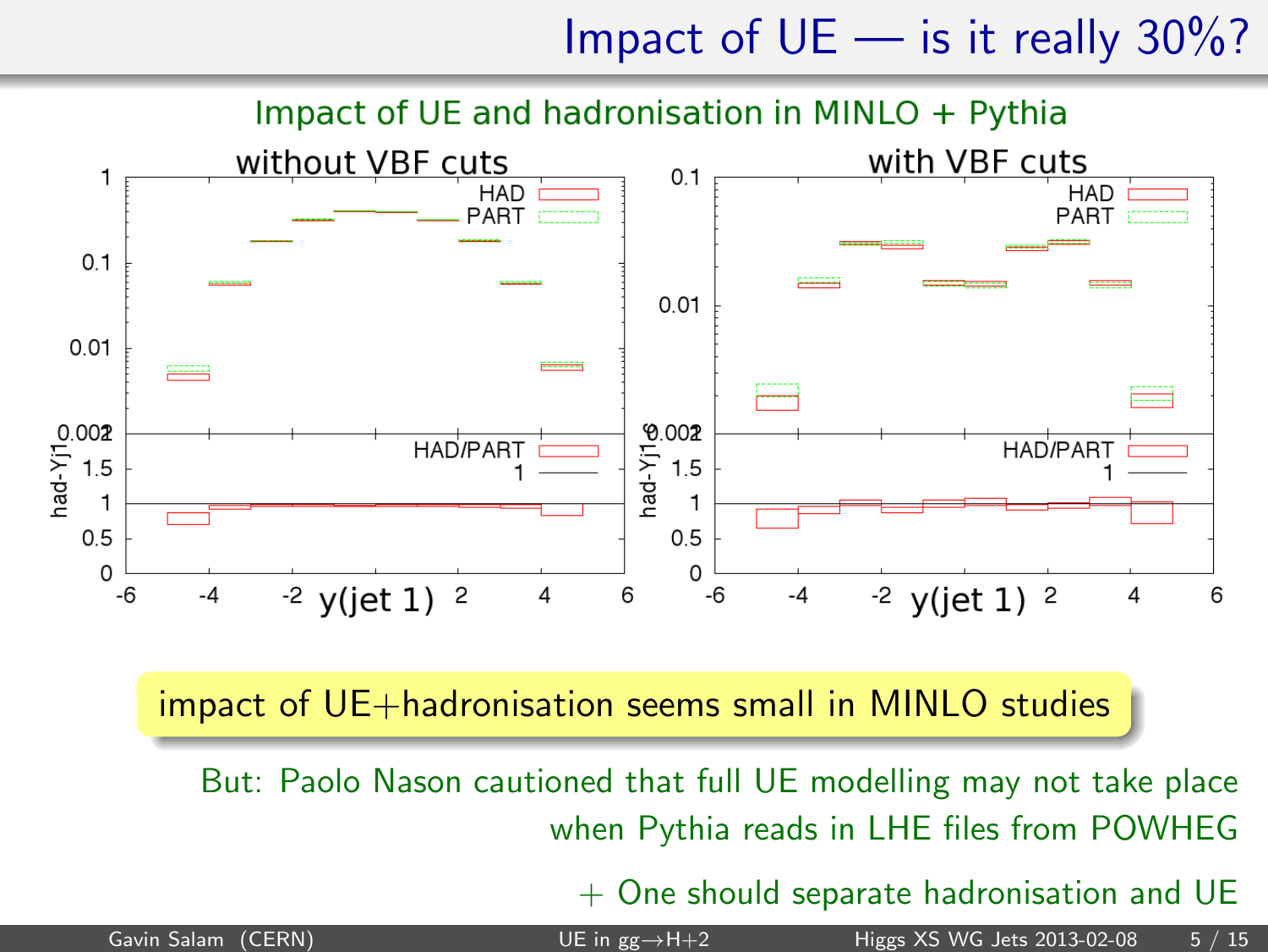Impact of  $UE$  — is it really 30%?



#### impact of UE+hadronisation seems small in MINLO studies

But: Paolo Nason cautioned that full UE modelling may not take place when Pythia reads in LHE files from POWHEG

 $+$  One should separate hadronisation and UE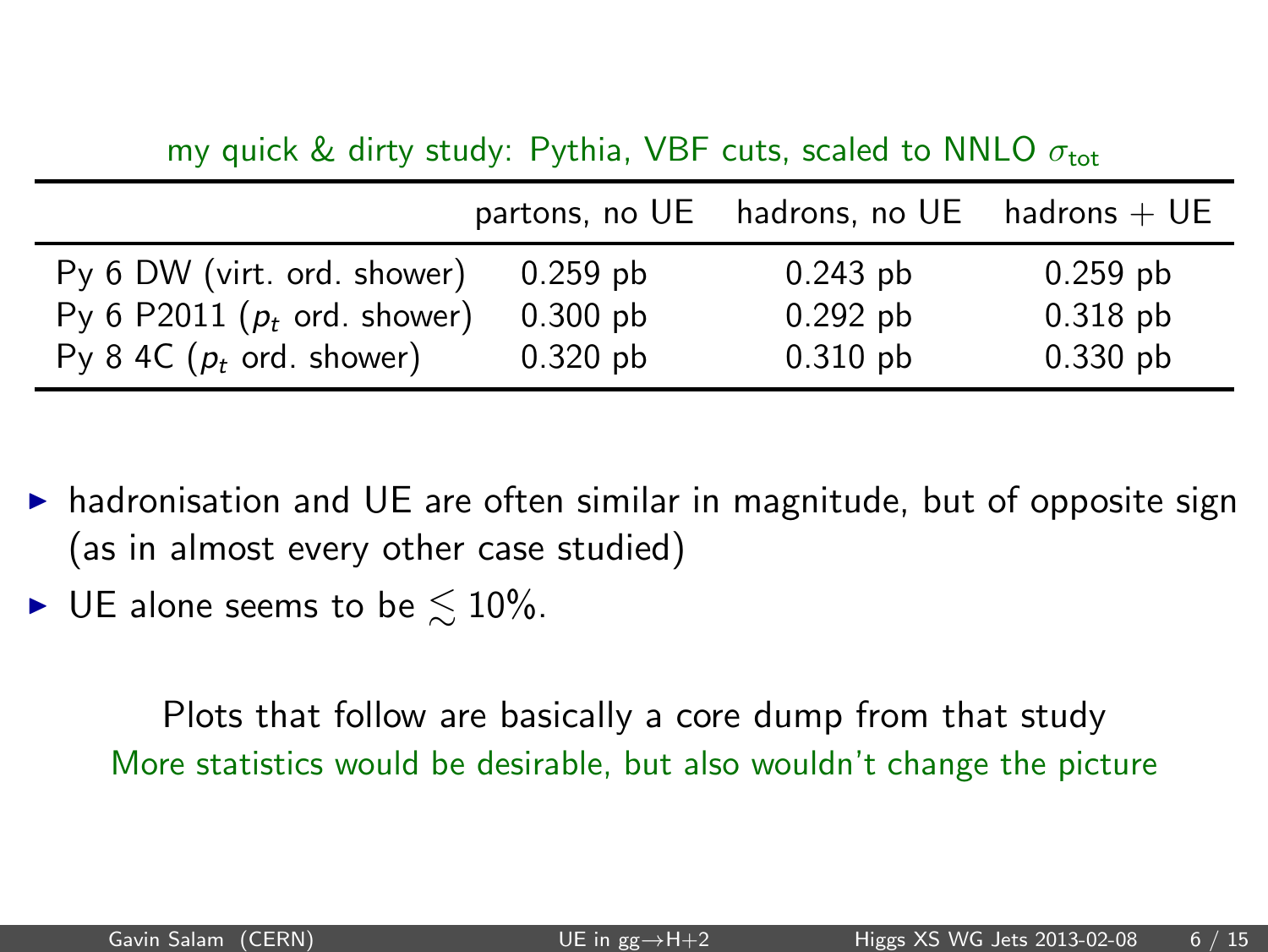my quick & dirty study: Pythia, VBF cuts, scaled to NNLO  $\sigma_{\text{tot}}$ 

|                                     |            | partons, no $UE$ hadrons, no $UE$ hadrons + $UE$ |            |
|-------------------------------------|------------|--------------------------------------------------|------------|
| Py 6 DW (virt. ord. shower)         | $0.259$ pb | $0.243$ pb                                       | $0.259$ pb |
| Py 6 P2011 ( $p_t$ ord. shower)     | $0.300$ pb | $0.292$ pb                                       | $0.318$ pb |
| Py 8 4C $(p_t \text{ ord. shower})$ | $0.320$ pb | $0.310$ pb                                       | $0.330$ pb |

- ▶ hadronisation and UE are often similar in magnitude, but of opposite sign (as in almost every other case studied)
- $\blacktriangleright$  UE alone seems to be  $\leq 10\%$ .

Plots that follow are basically a core dump from that study More statistics would be desirable, but also wouldn't change the picture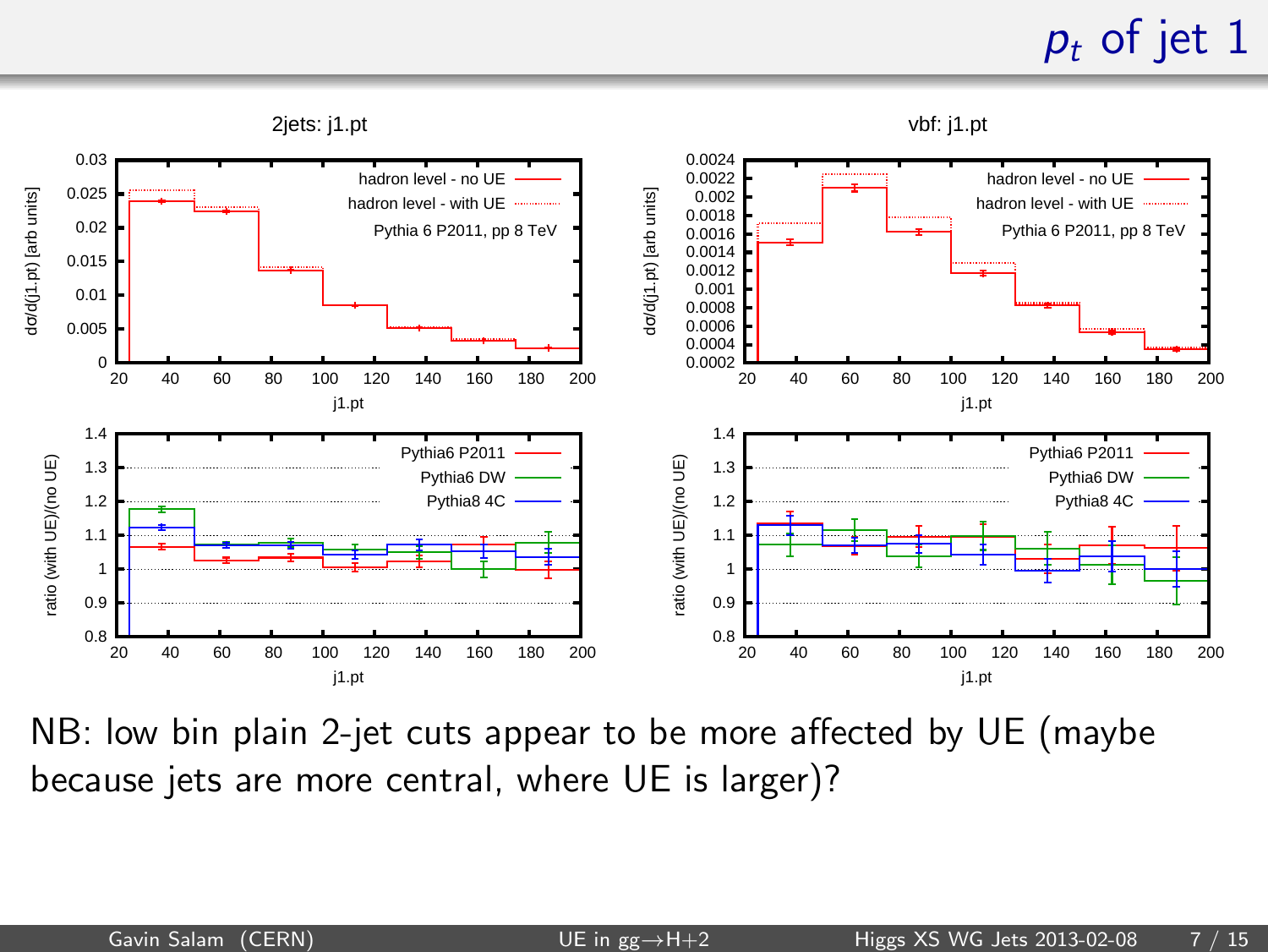### $p_t$  of jet 1



NB: low bin plain 2-jet cuts appear to be more affected by UE (maybe because jets are more central, where UE is larger)?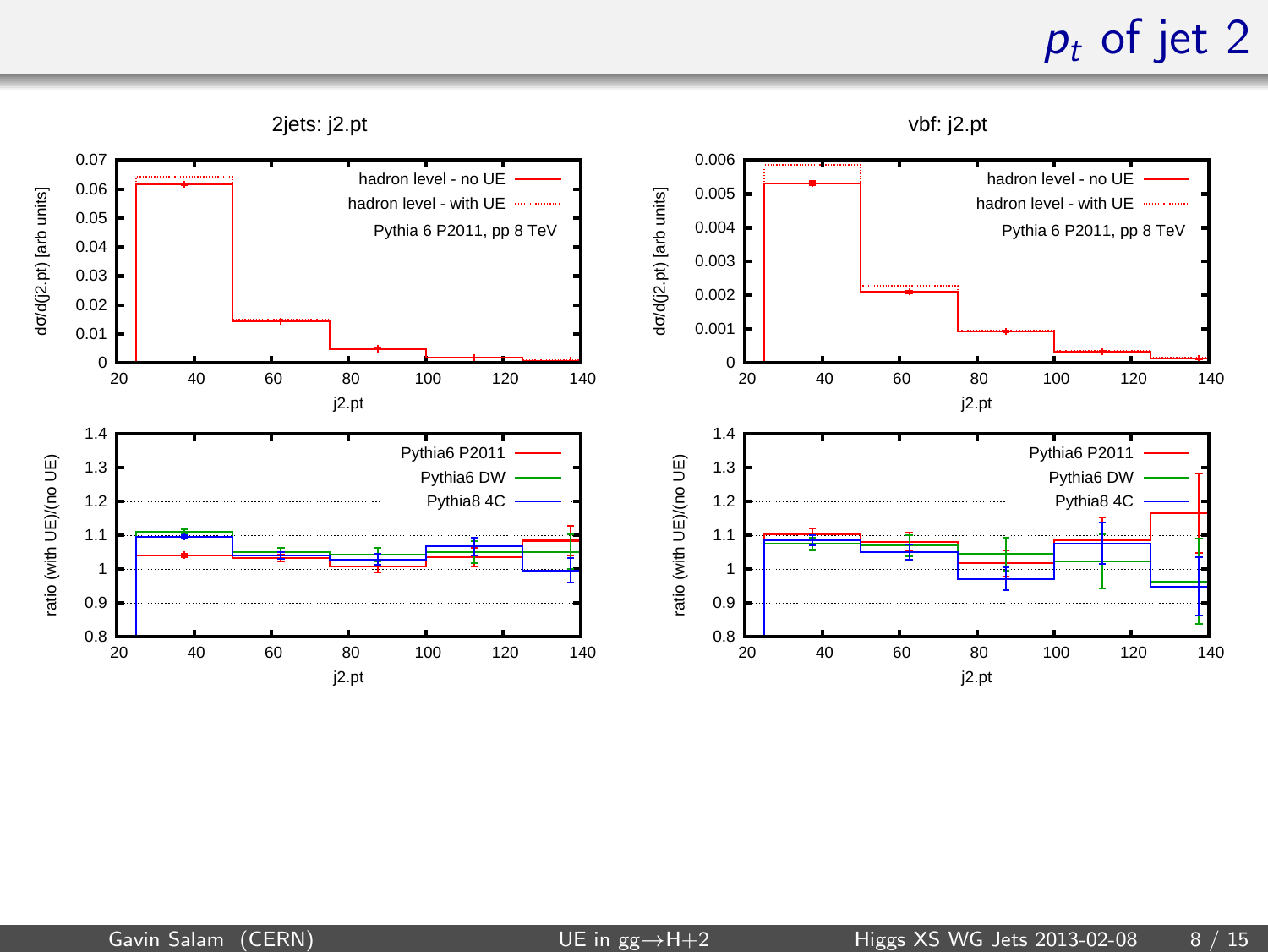### $p_t$  of jet 2

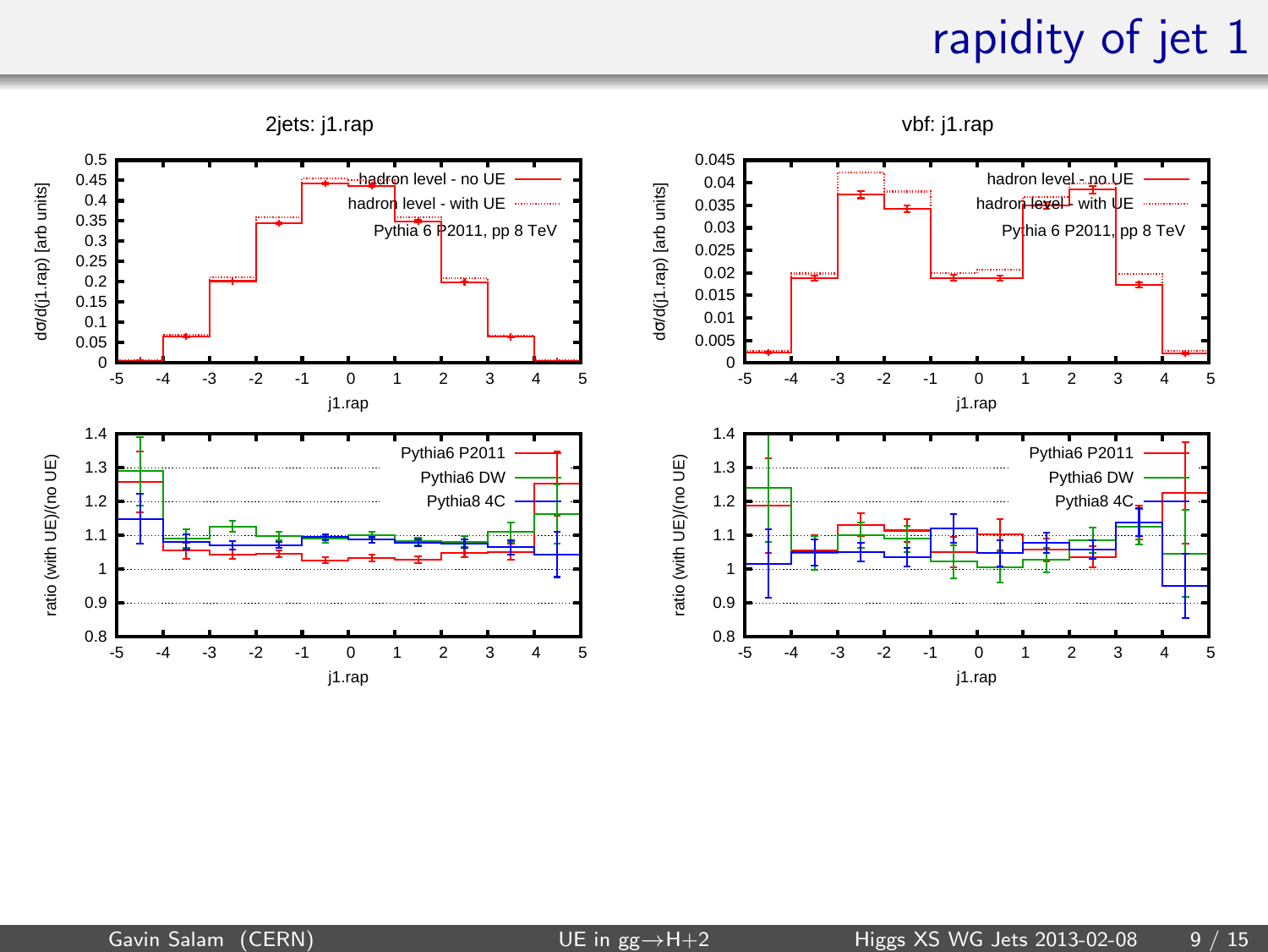#### rapidity of jet 1

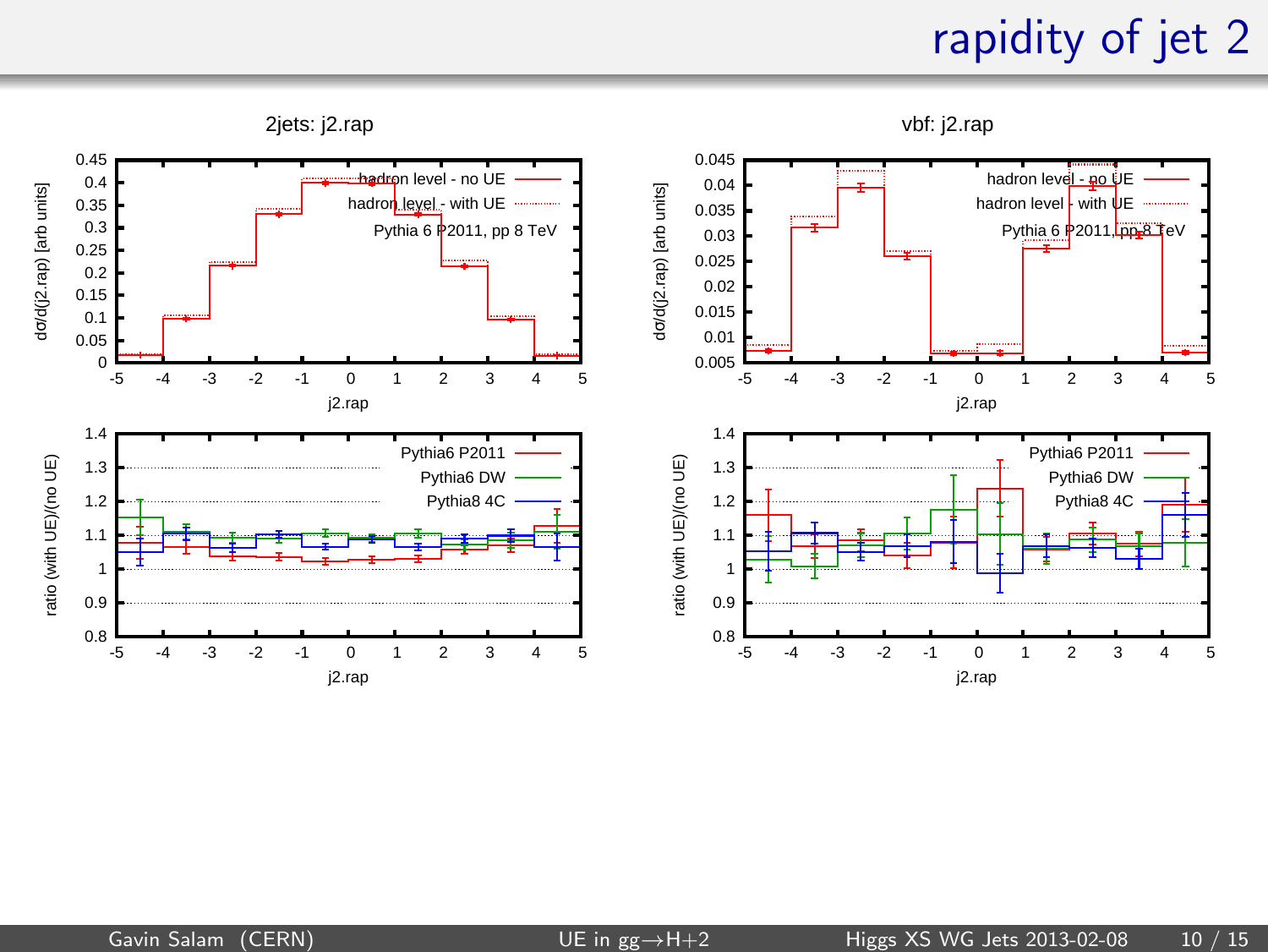#### rapidity of jet 2

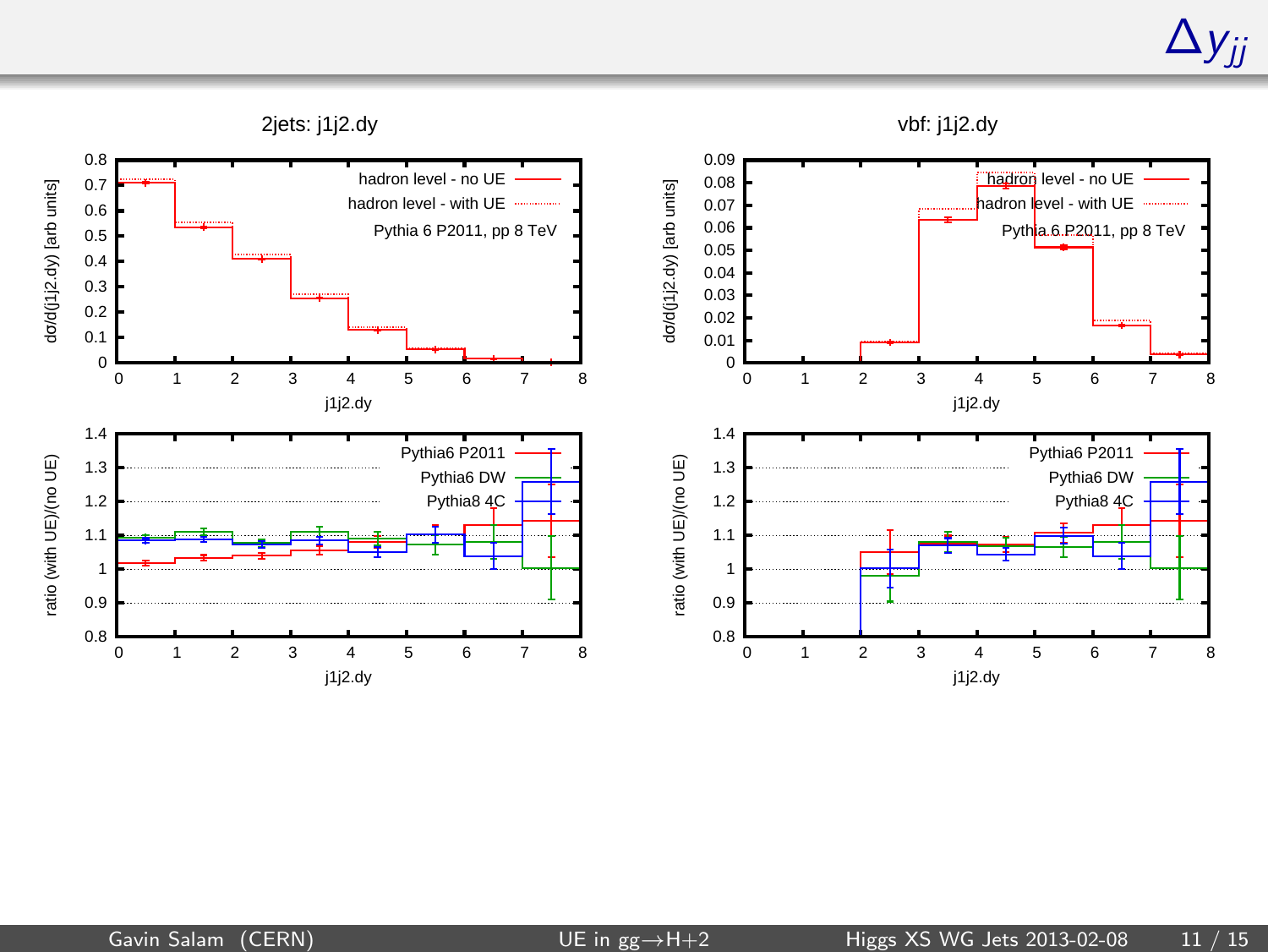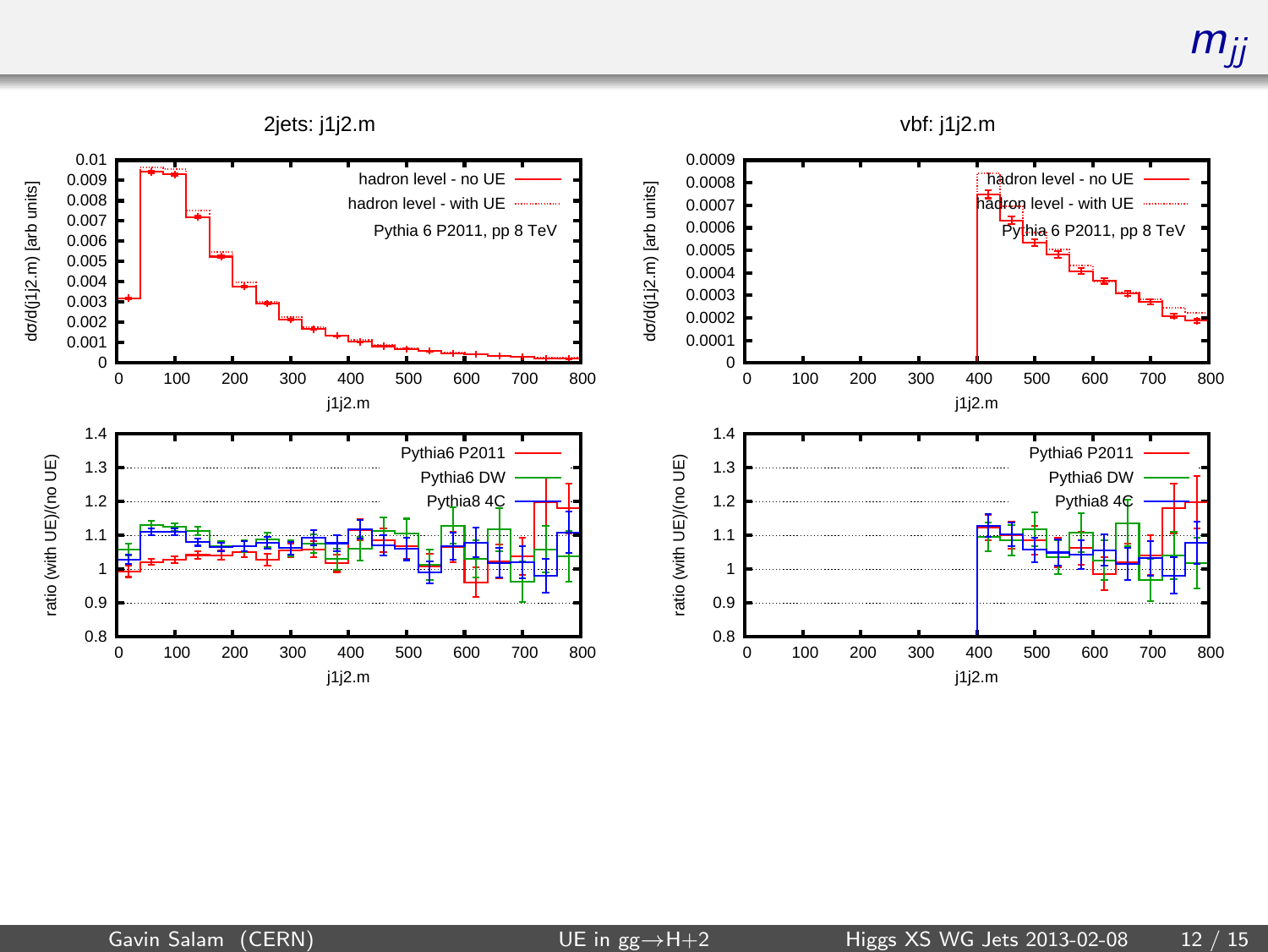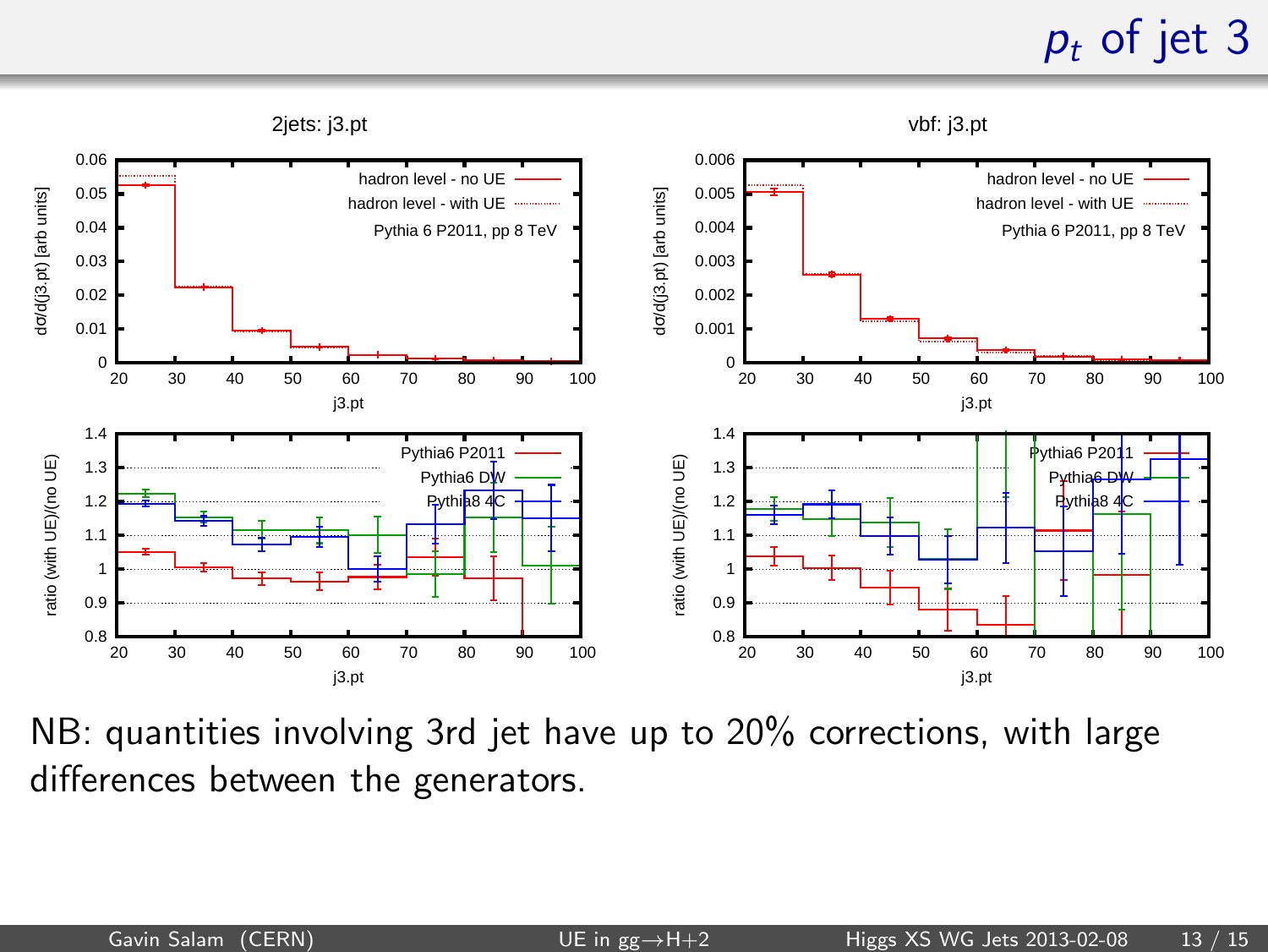### $p_t$  of jet 3



NB: quantities involving 3rd jet have up to 20% corrections, with large differences between the generators.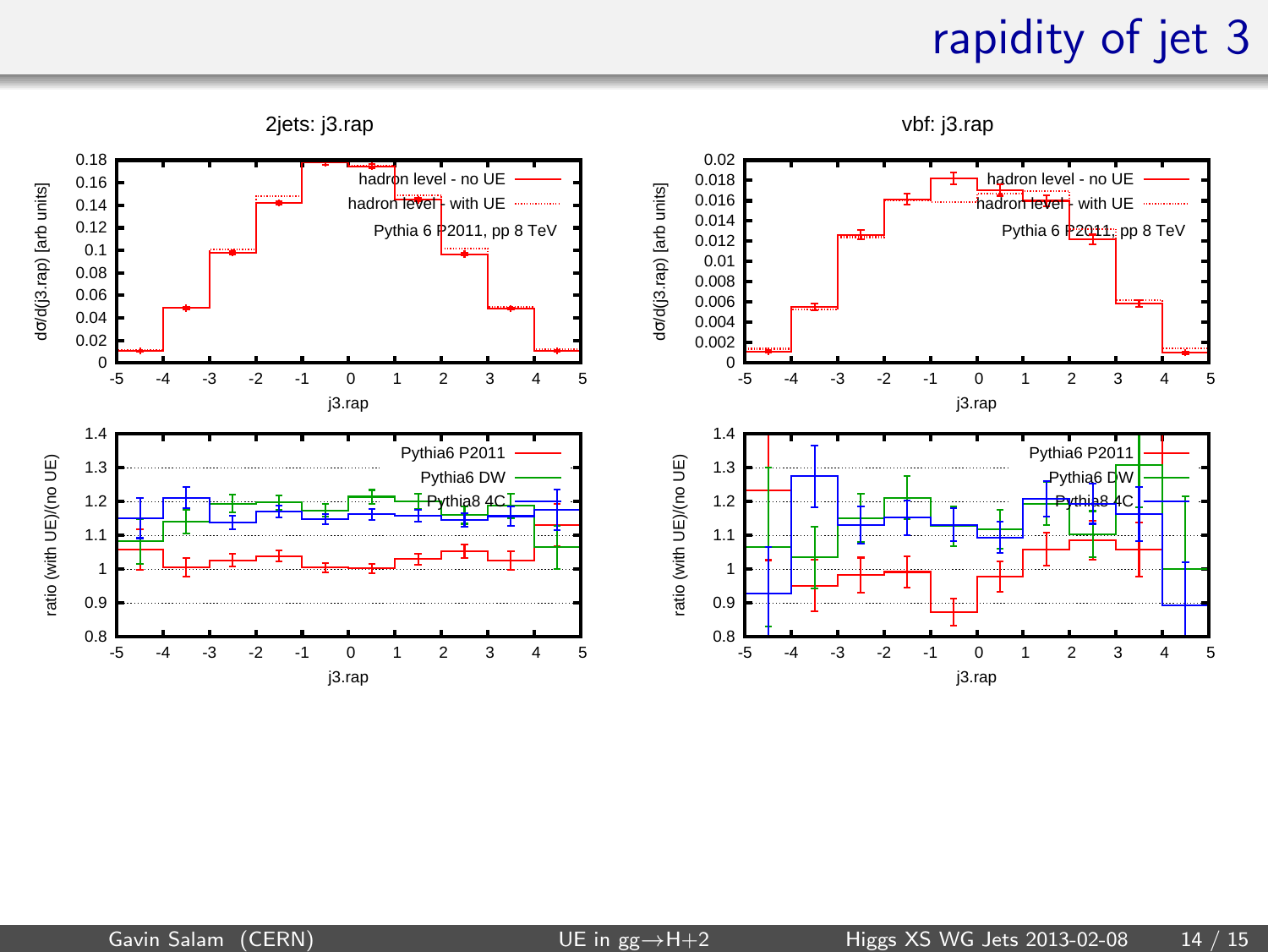#### rapidity of jet 3

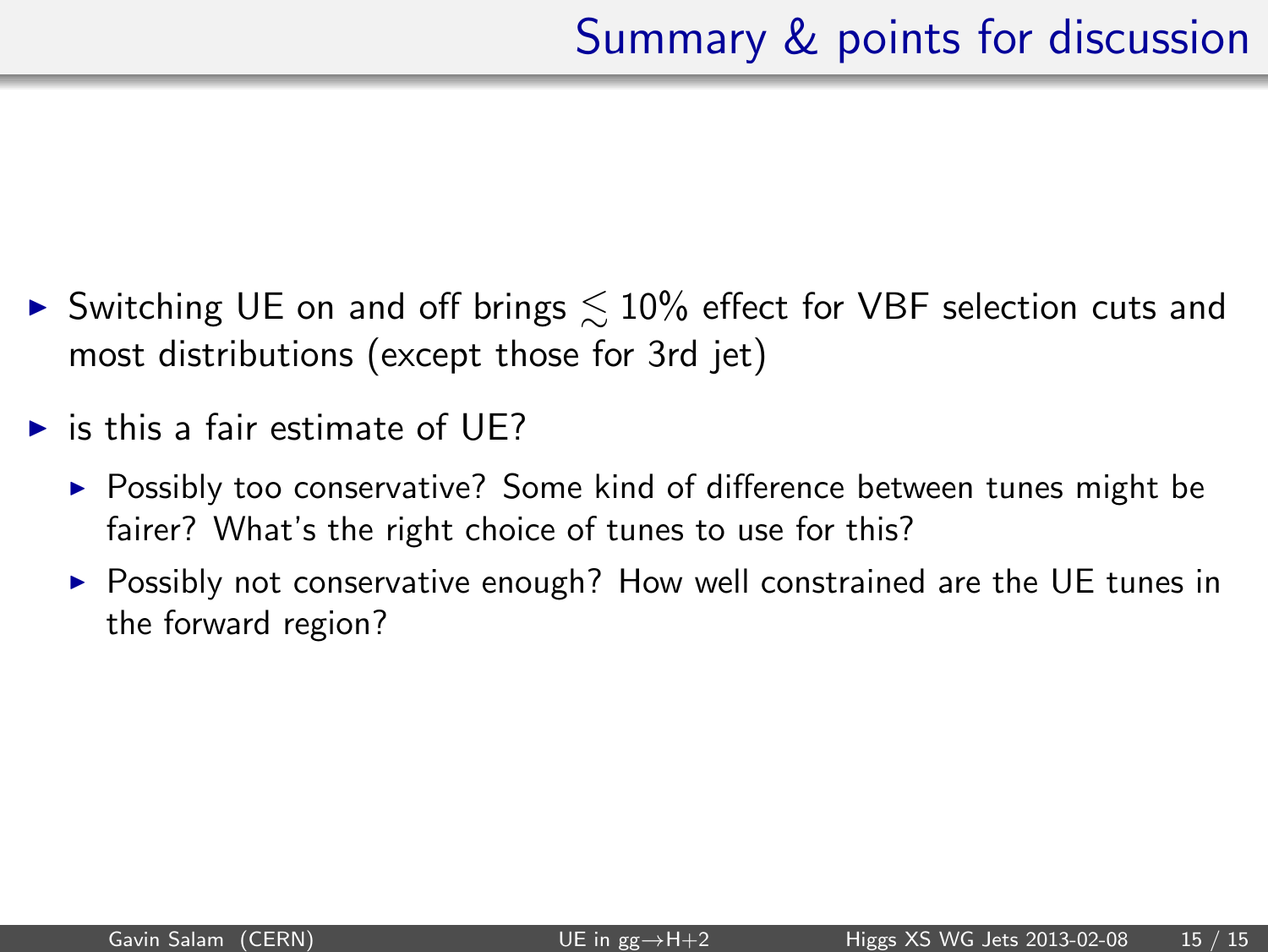- ► Switching UE on and off brings  $\lesssim$  10% effect for VBF selection cuts and most distributions (except those for 3rd jet)
- $\triangleright$  is this a fair estimate of UE?
	- ► Possibly too conservative? Some kind of difference between tunes might be fairer? What's the right choice of tunes to use for this?
	- $\triangleright$  Possibly not conservative enough? How well constrained are the UE tunes in the forward region?